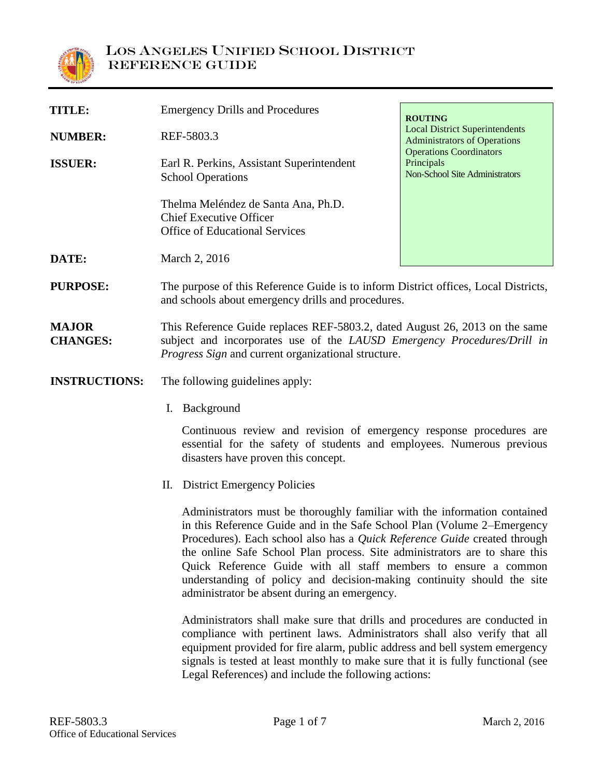

| TITLE:         | <b>Emergency Drills and Procedures</b>                                                                         | <b>ROUTING</b>                                                                 |
|----------------|----------------------------------------------------------------------------------------------------------------|--------------------------------------------------------------------------------|
| <b>NUMBER:</b> | REF-5803.3                                                                                                     | <b>Local District Superintendents</b><br><b>Administrators of Operations</b>   |
| <b>ISSUER:</b> | Earl R. Perkins, Assistant Superintendent<br><b>School Operations</b>                                          | <b>Operations Coordinators</b><br>Principals<br>Non-School Site Administrators |
|                | Thelma Meléndez de Santa Ana, Ph.D.<br><b>Chief Executive Officer</b><br><b>Office of Educational Services</b> |                                                                                |
| DATE:          | March 2, 2016                                                                                                  |                                                                                |

**PURPOSE:** The purpose of this Reference Guide is to inform District offices, Local Districts, and schools about emergency drills and procedures.

**MAJOR CHANGES:** This Reference Guide replaces REF-5803.2, dated August 26, 2013 on the same subject and incorporates use of the *LAUSD Emergency Procedures/Drill in Progress Sign* and current organizational structure.

**INSTRUCTIONS:** The following guidelines apply:

I. Background

Continuous review and revision of emergency response procedures are essential for the safety of students and employees. Numerous previous disasters have proven this concept.

II. District Emergency Policies

Administrators must be thoroughly familiar with the information contained in this Reference Guide and in the Safe School Plan (Volume 2–Emergency Procedures). Each school also has a *Quick Reference Guide* created through the online Safe School Plan process. Site administrators are to share this Quick Reference Guide with all staff members to ensure a common understanding of policy and decision-making continuity should the site administrator be absent during an emergency.

Administrators shall make sure that drills and procedures are conducted in compliance with pertinent laws. Administrators shall also verify that all equipment provided for fire alarm, public address and bell system emergency signals is tested at least monthly to make sure that it is fully functional (see Legal References) and include the following actions: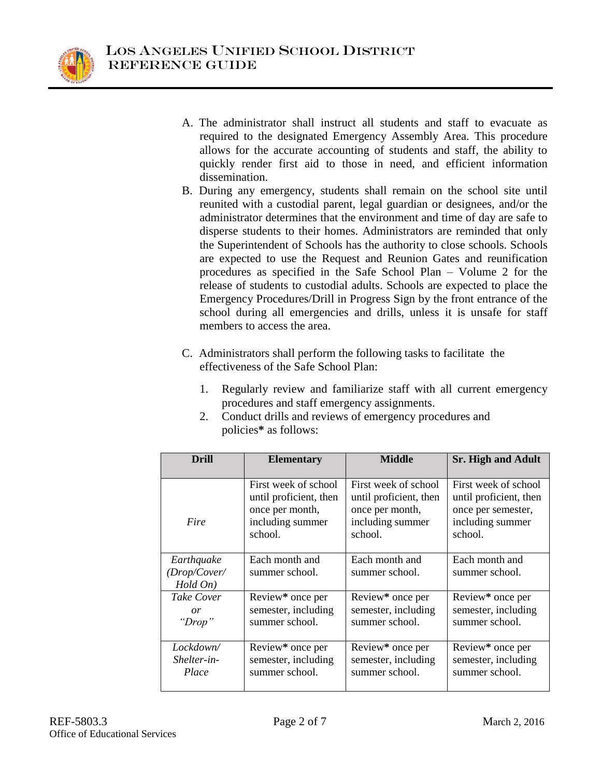

- A. The administrator shall instruct all students and staff to evacuate as required to the designated Emergency Assembly Area. This procedure allows for the accurate accounting of students and staff, the ability to quickly render first aid to those in need, and efficient information dissemination.
- B. During any emergency, students shall remain on the school site until reunited with a custodial parent, legal guardian or designees, and/or the administrator determines that the environment and time of day are safe to disperse students to their homes. Administrators are reminded that only the Superintendent of Schools has the authority to close schools. Schools are expected to use the Request and Reunion Gates and reunification procedures as specified in the Safe School Plan – Volume 2 for the release of students to custodial adults. Schools are expected to place the Emergency Procedures/Drill in Progress Sign by the front entrance of the school during all emergencies and drills, unless it is unsafe for staff members to access the area.
- C. Administrators shall perform the following tasks to facilitate the effectiveness of the Safe School Plan:
	- 1. Regularly review and familiarize staff with all current emergency procedures and staff emergency assignments.
	- 2. Conduct drills and reviews of emergency procedures and policies**\*** as follows:

| Drill                                  | <b>Elementary</b>                | <b>Middle</b>                    | <b>Sr. High and Adult</b>        |  |
|----------------------------------------|----------------------------------|----------------------------------|----------------------------------|--|
| Fire                                   | First week of school             | First week of school             | First week of school             |  |
|                                        | until proficient, then           | until proficient, then           | until proficient, then           |  |
|                                        | once per month,                  | once per month,                  | once per semester,               |  |
|                                        | including summer                 | including summer                 | including summer                 |  |
|                                        | school.                          | school.                          | school.                          |  |
| Earthquake<br>(Drop/Cover/<br>Hold On) | Each month and<br>summer school. | Each month and<br>summer school. | Each month and<br>summer school. |  |
| Take Cover                             | Review* once per                 | Review* once per                 | Review* once per                 |  |
| or                                     | semester, including              | semester, including              | semester, including              |  |
| "Drop"                                 | summer school.                   | summer school.                   | summer school.                   |  |
| Lockdown/                              | Review* once per                 | Review* once per                 | Review* once per                 |  |
| Shelter-in-                            | semester, including              | semester, including              | semester, including              |  |
| Place                                  | summer school.                   | summer school.                   | summer school.                   |  |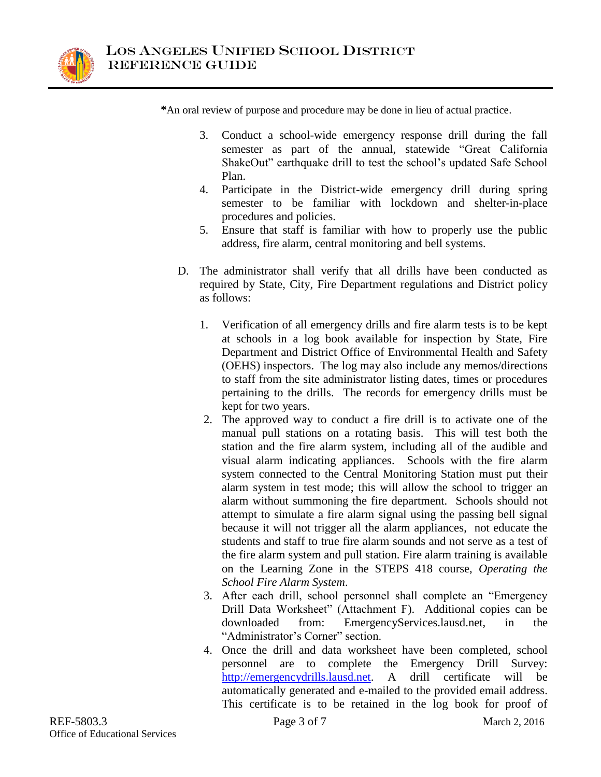

**\***An oral review of purpose and procedure may be done in lieu of actual practice.

- 3. Conduct a school-wide emergency response drill during the fall semester as part of the annual, statewide "Great California ShakeOut" earthquake drill to test the school's updated Safe School Plan.
- 4. Participate in the District-wide emergency drill during spring semester to be familiar with lockdown and shelter-in-place procedures and policies.
- 5. Ensure that staff is familiar with how to properly use the public address, fire alarm, central monitoring and bell systems.
- D. The administrator shall verify that all drills have been conducted as required by State, City, Fire Department regulations and District policy as follows:
	- 1. Verification of all emergency drills and fire alarm tests is to be kept at schools in a log book available for inspection by State, Fire Department and District Office of Environmental Health and Safety (OEHS) inspectors. The log may also include any memos/directions to staff from the site administrator listing dates, times or procedures pertaining to the drills. The records for emergency drills must be kept for two years.
	- 2. The approved way to conduct a fire drill is to activate one of the manual pull stations on a rotating basis. This will test both the station and the fire alarm system, including all of the audible and visual alarm indicating appliances. Schools with the fire alarm system connected to the Central Monitoring Station must put their alarm system in test mode; this will allow the school to trigger an alarm without summoning the fire department. Schools should not attempt to simulate a fire alarm signal using the passing bell signal because it will not trigger all the alarm appliances, not educate the students and staff to true fire alarm sounds and not serve as a test of the fire alarm system and pull station. Fire alarm training is available on the Learning Zone in the STEPS 418 course, *Operating the School Fire Alarm System*.
	- 3. After each drill, school personnel shall complete an "Emergency Drill Data Worksheet" (Attachment F). Additional copies can be downloaded from: EmergencyServices.lausd.net, in the "Administrator's Corner" section.
	- 4. Once the drill and data worksheet have been completed, school personnel are to complete the Emergency Drill Survey: [http://emergencydrills.lausd.net.](http://emergencydrills.lausd.net/) A drill certificate will be automatically generated and e-mailed to the provided email address. This certificate is to be retained in the log book for proof of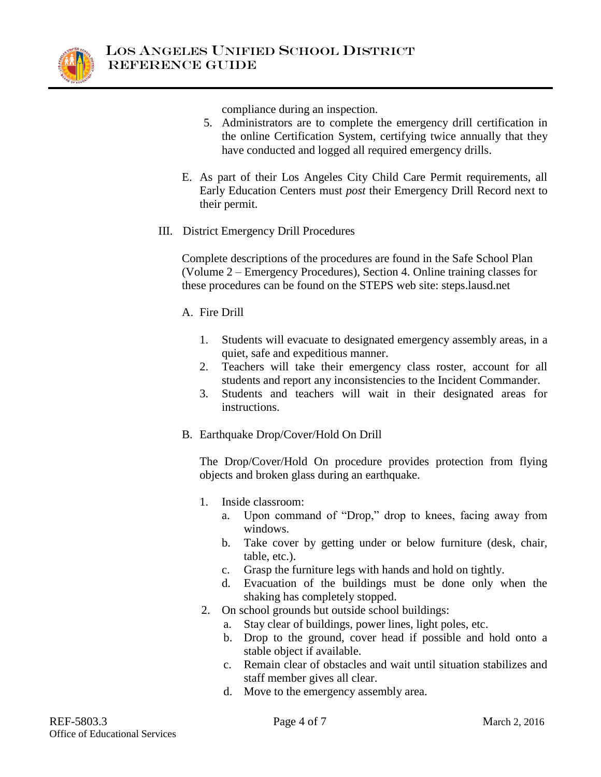

compliance during an inspection.

- 5. Administrators are to complete the emergency drill certification in the online Certification System, certifying twice annually that they have conducted and logged all required emergency drills.
- E. As part of their Los Angeles City Child Care Permit requirements, all Early Education Centers must *post* their Emergency Drill Record next to their permit.
- III. District Emergency Drill Procedures

Complete descriptions of the procedures are found in the Safe School Plan (Volume 2 – Emergency Procedures), Section 4. Online training classes for these procedures can be found on the STEPS web site: steps.lausd.net

- A. Fire Drill
	- 1. Students will evacuate to designated emergency assembly areas, in a quiet, safe and expeditious manner.
	- 2. Teachers will take their emergency class roster, account for all students and report any inconsistencies to the Incident Commander.
	- 3. Students and teachers will wait in their designated areas for instructions.
- B. Earthquake Drop/Cover/Hold On Drill

The Drop/Cover/Hold On procedure provides protection from flying objects and broken glass during an earthquake.

- 1. Inside classroom:
	- a. Upon command of "Drop," drop to knees, facing away from windows.
	- b. Take cover by getting under or below furniture (desk, chair, table, etc.).
	- c. Grasp the furniture legs with hands and hold on tightly.
	- d. Evacuation of the buildings must be done only when the shaking has completely stopped.
- 2. On school grounds but outside school buildings:
	- a. Stay clear of buildings, power lines, light poles, etc.
	- b. Drop to the ground, cover head if possible and hold onto a stable object if available.
	- c. Remain clear of obstacles and wait until situation stabilizes and staff member gives all clear.
	- d. Move to the emergency assembly area.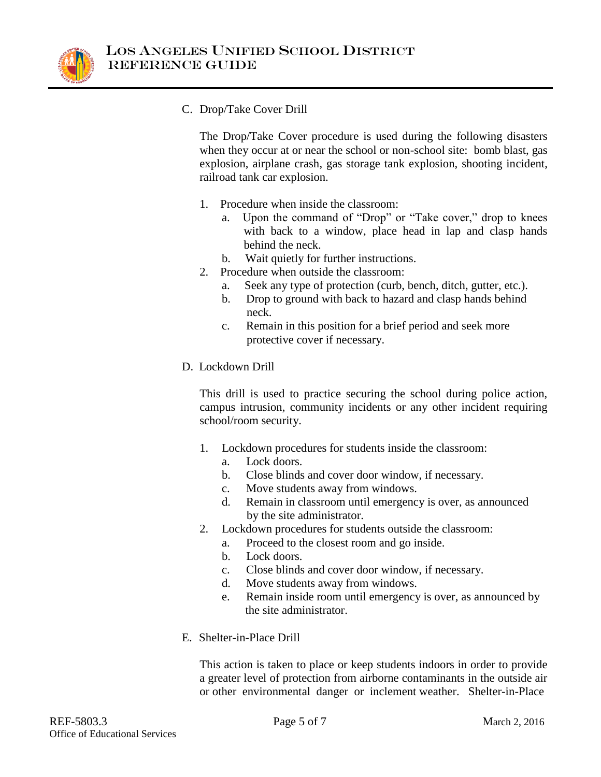

C. Drop/Take Cover Drill

The Drop/Take Cover procedure is used during the following disasters when they occur at or near the school or non-school site: bomb blast, gas explosion, airplane crash, gas storage tank explosion, shooting incident, railroad tank car explosion.

- 1. Procedure when inside the classroom:
	- a. Upon the command of "Drop" or "Take cover," drop to knees with back to a window, place head in lap and clasp hands behind the neck.
	- b. Wait quietly for further instructions.
- 2. Procedure when outside the classroom:
	- a. Seek any type of protection (curb, bench, ditch, gutter, etc.).
	- b. Drop to ground with back to hazard and clasp hands behind neck.
	- c. Remain in this position for a brief period and seek more protective cover if necessary.
- D. Lockdown Drill

This drill is used to practice securing the school during police action, campus intrusion, community incidents or any other incident requiring school/room security.

- 1. Lockdown procedures for students inside the classroom:
	- a. Lock doors.
	- b. Close blinds and cover door window, if necessary.
	- c. Move students away from windows.
	- d. Remain in classroom until emergency is over, as announced by the site administrator.
- 2. Lockdown procedures for students outside the classroom:
	- a. Proceed to the closest room and go inside.
	- b. Lock doors.
	- c. Close blinds and cover door window, if necessary.
	- d. Move students away from windows.
	- e. Remain inside room until emergency is over, as announced by the site administrator.
- E. Shelter-in-Place Drill

This action is taken to place or keep students indoors in order to provide a greater level of protection from airborne contaminants in the outside air or other environmental danger or inclement weather. Shelter-in-Place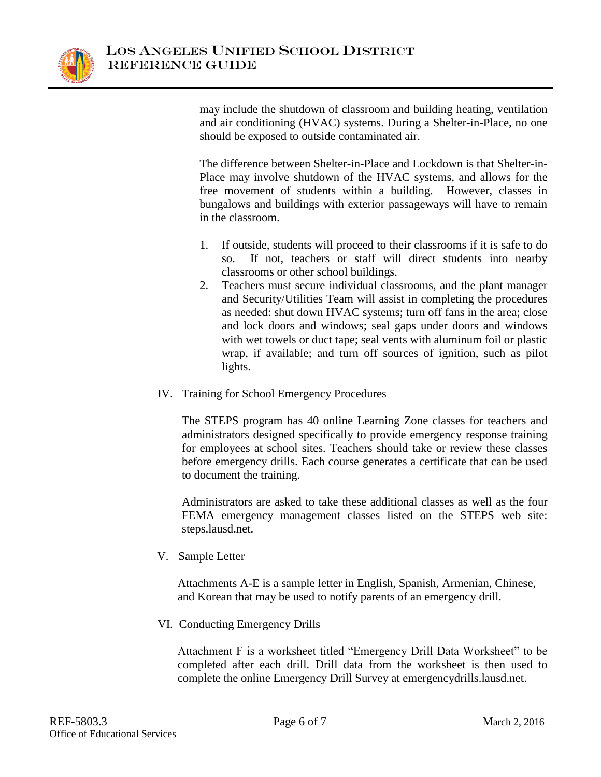

may include the shutdown of classroom and building heating, ventilation and air conditioning (HVAC) systems. During a Shelter-in-Place, no one should be exposed to outside contaminated air.

The difference between Shelter-in-Place and Lockdown is that Shelter-in-Place may involve shutdown of the HVAC systems, and allows for the free movement of students within a building. However, classes in bungalows and buildings with exterior passageways will have to remain in the classroom.

- 1. If outside, students will proceed to their classrooms if it is safe to do so. If not, teachers or staff will direct students into nearby classrooms or other school buildings.
- 2. Teachers must secure individual classrooms, and the plant manager and Security/Utilities Team will assist in completing the procedures as needed: shut down HVAC systems; turn off fans in the area; close and lock doors and windows; seal gaps under doors and windows with wet towels or duct tape; seal vents with aluminum foil or plastic wrap, if available; and turn off sources of ignition, such as pilot lights.
- IV. Training for School Emergency Procedures

The STEPS program has 40 online Learning Zone classes for teachers and administrators designed specifically to provide emergency response training for employees at school sites. Teachers should take or review these classes before emergency drills. Each course generates a certificate that can be used to document the training.

Administrators are asked to take these additional classes as well as the four FEMA emergency management classes listed on the STEPS web site: steps.lausd.net.

V. Sample Letter

Attachments A-E is a sample letter in English, Spanish, Armenian, Chinese, and Korean that may be used to notify parents of an emergency drill.

VI. Conducting Emergency Drills

Attachment F is a worksheet titled "Emergency Drill Data Worksheet" to be completed after each drill. Drill data from the worksheet is then used to complete the online Emergency Drill Survey at emergencydrills.lausd.net.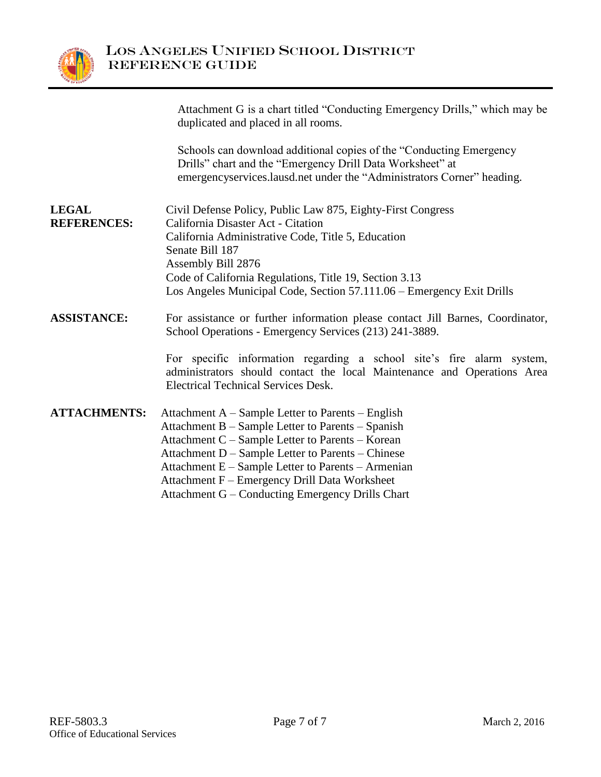

|                                    | Attachment G is a chart titled "Conducting Emergency Drills," which may be<br>duplicated and placed in all rooms.                                                                                          |
|------------------------------------|------------------------------------------------------------------------------------------------------------------------------------------------------------------------------------------------------------|
|                                    | Schools can download additional copies of the "Conducting Emergency<br>Drills" chart and the "Emergency Drill Data Worksheet" at<br>emergencyservices.lausd.net under the "Administrators Corner" heading. |
|                                    |                                                                                                                                                                                                            |
| <b>LEGAL</b><br><b>REFERENCES:</b> | Civil Defense Policy, Public Law 875, Eighty-First Congress<br>California Disaster Act - Citation                                                                                                          |
|                                    | California Administrative Code, Title 5, Education                                                                                                                                                         |
|                                    | Senate Bill 187                                                                                                                                                                                            |
|                                    | Assembly Bill 2876<br>Code of California Regulations, Title 19, Section 3.13                                                                                                                               |
|                                    | Los Angeles Municipal Code, Section 57.111.06 – Emergency Exit Drills                                                                                                                                      |
| <b>ASSISTANCE:</b>                 | For assistance or further information please contact Jill Barnes, Coordinator,<br>School Operations - Emergency Services (213) 241-3889.                                                                   |
|                                    | For specific information regarding a school site's fire alarm system,<br>administrators should contact the local Maintenance and Operations Area<br><b>Electrical Technical Services Desk.</b>             |
| <b>ATTACHMENTS:</b>                | Attachment A – Sample Letter to Parents – English                                                                                                                                                          |
|                                    | Attachment B - Sample Letter to Parents - Spanish                                                                                                                                                          |
|                                    | Attachment C – Sample Letter to Parents – Korean<br>Attachment D - Sample Letter to Parents - Chinese                                                                                                      |
|                                    | Attachment E - Sample Letter to Parents - Armenian                                                                                                                                                         |
|                                    | Attachment F - Emergency Drill Data Worksheet                                                                                                                                                              |
|                                    | Attachment G - Conducting Emergency Drills Chart                                                                                                                                                           |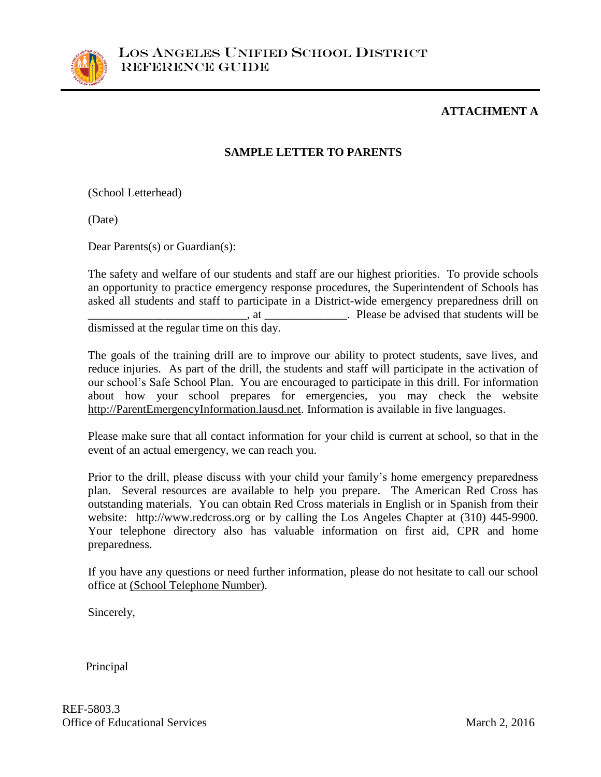

#### **ATTACHMENT A**

#### **SAMPLE LETTER TO PARENTS**

(School Letterhead)

(Date)

Dear Parents(s) or Guardian(s):

The safety and welfare of our students and staff are our highest priorities. To provide schools an opportunity to practice emergency response procedures, the Superintendent of Schools has asked all students and staff to participate in a District-wide emergency preparedness drill on \_\_\_\_\_\_\_\_\_\_\_\_\_\_\_\_\_\_\_\_\_\_\_\_\_\_\_, at \_\_\_\_\_\_\_\_\_\_\_\_\_\_. Please be advised that students will be dismissed at the regular time on this day.

The goals of the training drill are to improve our ability to protect students, save lives, and reduce injuries. As part of the drill, the students and staff will participate in the activation of our school's Safe School Plan. You are encouraged to participate in this drill. For information about how your school prepares for emergencies, you may check the website [http://ParentEmergencyInformation.lausd.net.](http://parentemergencyinformation.lausd.net/) Information is available in five languages.

Please make sure that all contact information for your child is current at school, so that in the event of an actual emergency, we can reach you.

Prior to the drill, please discuss with your child your family's home emergency preparedness plan. Several resources are available to help you prepare. The American Red Cross has outstanding materials. You can obtain Red Cross materials in English or in Spanish from their website: http://www.redcross.org or by calling the Los Angeles Chapter at (310) 445-9900. Your telephone directory also has valuable information on first aid, CPR and home preparedness.

If you have any questions or need further information, please do not hesitate to call our school office at (School Telephone Number).

Sincerely,

Principal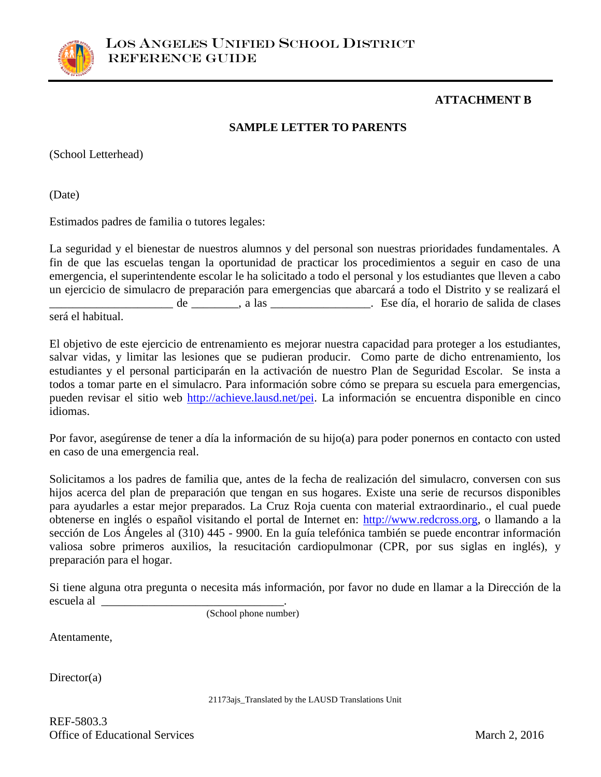

#### **ATTACHMENT B**

#### **SAMPLE LETTER TO PARENTS**

(School Letterhead)

(Date)

Estimados padres de familia o tutores legales:

La seguridad y el bienestar de nuestros alumnos y del personal son nuestras prioridades fundamentales. A fin de que las escuelas tengan la oportunidad de practicar los procedimientos a seguir en caso de una emergencia, el superintendente escolar le ha solicitado a todo el personal y los estudiantes que lleven a cabo un ejercicio de simulacro de preparación para emergencias que abarcará a todo el Distrito y se realizará el \_\_\_\_\_\_\_\_\_\_\_\_\_\_\_\_\_\_\_\_\_ de \_\_\_\_\_\_\_\_, a las \_\_\_\_\_\_\_\_\_\_\_\_\_\_\_\_\_. Ese día, el horario de salida de clases será el habitual.

El objetivo de este ejercicio de entrenamiento es mejorar nuestra capacidad para proteger a los estudiantes, salvar vidas, y limitar las lesiones que se pudieran producir. Como parte de dicho entrenamiento, los estudiantes y el personal participarán en la activación de nuestro Plan de Seguridad Escolar. Se insta a todos a tomar parte en el simulacro. Para información sobre cómo se prepara su escuela para emergencias, pueden revisar el sitio web [http://achieve.lausd.net/pei.](http://achieve.lausd.net/pei) La información se encuentra disponible en cinco idiomas.

Por favor, asegúrense de tener a día la información de su hijo(a) para poder ponernos en contacto con usted en caso de una emergencia real.

Solicitamos a los padres de familia que, antes de la fecha de realización del simulacro, conversen con sus hijos acerca del plan de preparación que tengan en sus hogares. Existe una serie de recursos disponibles para ayudarles a estar mejor preparados. La Cruz Roja cuenta con material extraordinario., el cual puede obtenerse en inglés o español visitando el portal de Internet en: [http://www.redcross.org,](http://www.redcross.org/) o llamando a la sección de Los Ángeles al (310) 445 - 9900. En la guía telefónica también se puede encontrar información valiosa sobre primeros auxilios, la resucitación cardiopulmonar (CPR, por sus siglas en inglés), y preparación para el hogar.

Si tiene alguna otra pregunta o necesita más información, por favor no dude en llamar a la Dirección de la escuela al  $\Box$ 

(School phone number)

Atentamente,

Director(a)

21173ajs\_Translated by the LAUSD Translations Unit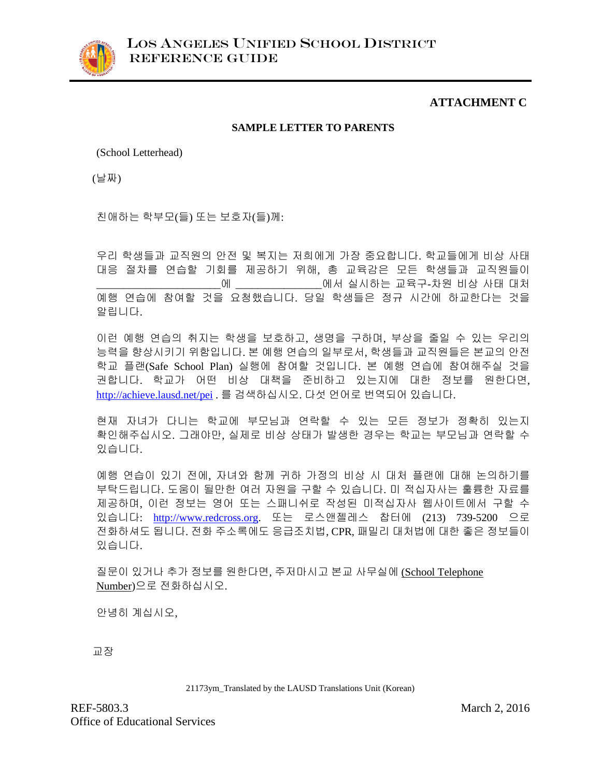

#### **ATTACHMENT C**

#### **SAMPLE LETTER TO PARENTS**

(School Letterhead)

(날짜)

친애하는 학부모(들) 또는 보호자(들)께:

우리 학생들과 교직원의 안전 및 복지는 저희에게 가장 중요합니다. 학교들에게 비상 사태 대응 절차를 연습할 기회를 제공하기 위해, 총 교육감은 모든 학생들과 교직원들이 \_\_\_\_\_\_\_\_\_\_\_\_\_\_\_\_\_\_\_\_\_\_\_에 \_\_\_\_\_\_\_\_\_\_\_\_\_\_\_\_에서 실시하는 교육구-차원 비상 사태 대처 예행 연습에 참여할 것을 요청했습니다. 당일 학생들은 정규 시간에 하교한다는 것을 알립니다.

이런 예행 연습의 취지는 학생을 보호하고, 생명을 구하며, 부상을 줄일 수 있는 우리의 능력을 향상시키기 위함입니다. 본 예행 연습의 일부로서, 학생들과 교직원들은 본교의 안전 학교 플랜(Safe School Plan) 실행에 참여할 것입니다. 본 예행 연습에 참여해주실 것을 권합니다. 학교가 어떤 비상 대책을 준비하고 있는지에 대한 정보를 원한다면, <http://achieve.lausd.net/pei>. 를 검색하십시오. 다섯 언어로 번역되어 있습니다.

현재 자녀가 다니는 학교에 부모님과 연락할 수 있는 모든 정보가 정확히 있는지 확인해주십시오. 그래야만, 실제로 비상 상태가 발생한 경우는 학교는 부모님과 연락할 수 있습니다.

예행 연습이 있기 전에, 자녀와 함께 귀하 가정의 비상 시 대처 플랜에 대해 논의하기를 부탁드립니다. 도움이 될만한 여러 자원을 구할 수 있습니다. 미 적십자사는 훌륭한 자료를 제공하며, 이런 정보는 영어 또는 스패니쉬로 작성된 미적십자사 웹사이트에서 구할 수 있습니다: [http://www.redcross.org.](http://www.redcross.org/) 또는 로스앤젤레스 찹터에 (213) 739-5200 으로 전화하셔도 됩니다. 전화 주소록에도 응급조치법, CPR, 패밀리 대처법에 대한 좋은 정보들이 있습니다.

질문이 있거나 추가 정보를 원한다면, 주저마시고 본교 사무실에 (School Telephone Number)으로 전화하십시오.

안녕히 계십시오,

교장

21173ym\_Translated by the LAUSD Translations Unit (Korean)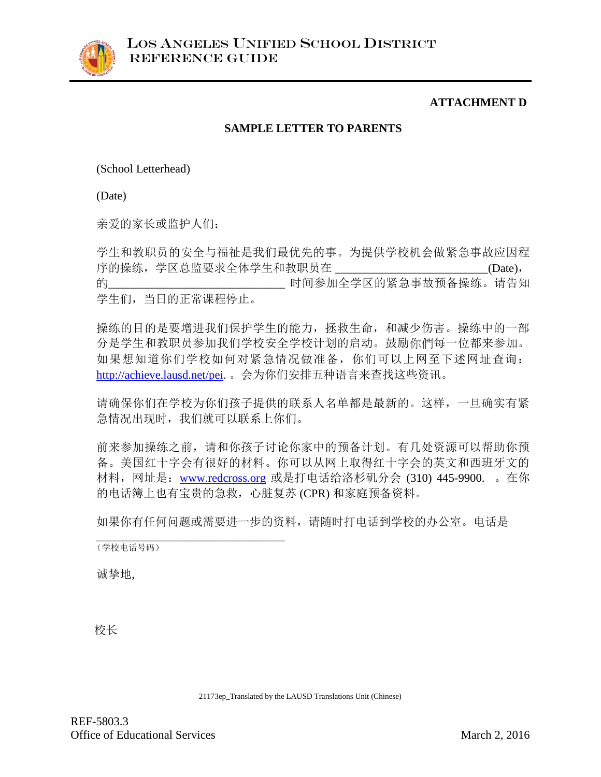### **ATTACHMENT D**

#### **SAMPLE LETTER TO PARENTS**

(School Letterhead)

(Date)

亲爱的家长或监护人们:

学生和教职员的安全与福祉是我们最优先的事。为提供学校机会做紧急事故应因程 序的操练,学区总监要求全体学生和教职员在 \_\_\_\_\_\_\_\_\_\_\_\_\_\_\_\_\_\_\_\_\_\_\_\_\_\_(Date), 的\_\_\_\_\_\_\_\_\_\_\_\_\_\_\_\_\_\_\_\_\_\_\_\_\_\_\_\_\_\_ 时间参加全学区的紧急事故预备操练。请告知 学生们,当日的正常课程停止。

操练的目的是要增进我们保护学生的能力,拯救生命,和减少伤害。操练中的一部 分是学生和教职员参加我们学校安全学校计划的启动。鼓励你們每一位都来参加。 如果想知道你们学校如何对紧急情况做准备,你们可以上网至下述网址查询: [http://achieve.lausd.net/pei.](http://achieve.lausd.net/pei) 。会为你们安排五种语言来查找这些资讯。

请确保你们在学校为你们孩子提供的联系人名单都是最新的。这样,一旦确实有紧 急情况出现时,我们就可以联系上你们。

前来参加操练之前,请和你孩子讨论你家中的预备计划。有几处资源可以帮助你预 备。美国红十字会有很好的材料。你可以从网上取得红十字会的英文和西班牙文的 材料,网址是:[www.redcross.org](http://www.redcross.org/) 或是打电话给洛杉矶分会 (310) 445-9900. 。在你 的电话簿上也有宝贵的急救,心脏复苏 (CPR) 和家庭预备资料。

如果你有任何问题或需要进一步的资料,请随时打电话到学校的办公室。电话是

\_\_\_\_\_\_\_\_\_\_\_\_\_\_\_\_\_\_\_\_\_\_\_\_\_\_\_\_\_\_\_\_ (学校电话号码)

诚挚地,

校长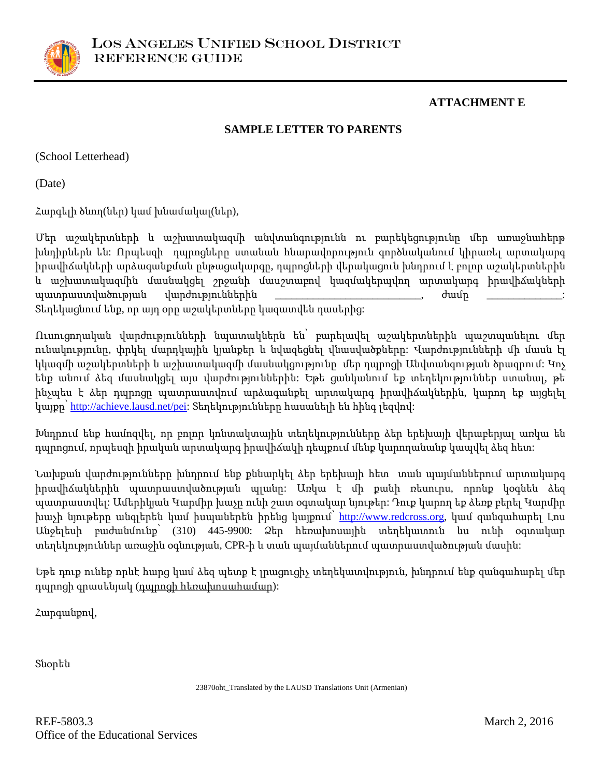

#### **ATTACHMENT E**

#### **SAMPLE LETTER TO PARENTS**

(School Letterhead)

(Date)

Հարգելի ծնող(ներ) կամ խնամակալ(ներ),

Մեր աշակերտների և աշխատակազմի անվտանգությունն ու բարեկեցությունը մեր առաջնահերթ խնդիրներն են: Որպեսզի դպրոցները ստանան հնարավորություն գործնականում կիրառել արտակարգ իրավիճակների արձագանքման ընթացակարգը, դպրոցների վերակացուն խնդրում է բոլոր աշակերտներին և աշխատակազմին մասնակցել շրջանի մասշտաբով կազմակերպվող արտակարգ իրավիճակների պատրաստվածության վարժություններին \_\_\_\_\_\_\_\_\_\_\_\_\_\_\_\_\_\_\_\_\_\_\_\_\_\_\_\_\_, ժամը Տեղեկացնում ենք, որ այդ օրը աշակերտները կազատվեն դասերից:

Ուսուցողական վարժությունների նպատակներն են՝ բարելավել աշակերտներին պաշտպանելու մեր ունակությունը, փրկել մարդկային կյանքեր և նվազեցնել վնասվածքները: Վարժությունների մի մասն էլ կկազմի աշակերտների և աշխատակազմի մասնակցությունը մեր դպրոցի Անվտանգության ծրագրում: Կոչ ենք անում ձեզ մասնակցել այս վարժություններին: Եթե ցանկանում եք տեղեկություններ ստանալ, թե ինչպես է ձեր դպրոցը պատրաստվում արձագանքել արտակարգ իրավիճակներին, կարող եք այցելել կայքը՝ [http://achieve.lausd.net/pei:](http://achieve.lausd.net/pei) Տեղեկությունները հասանելի են հինգ լեզվով:

Խնդրում ենք համոզվել, որ բոլոր կոնտակտային տեղեկությունները ձեր երեխայի վերաբերյալ առկա են դպրոցում, որպեսզի իրական արտակարգ իրավիճակի դեպքում մենք կարողանանք կապվել ձեզ հետ:

Նախքան վարժությունները խնդրում ենք քննարկել ձեր երեխայի հետ տան պայմաններում արտակարգ իրավիճակներին պատրաստվածության պլանը: Առկա է մի քանի ռեսուրս, որոնք կօգնեն ձեզ պատրաստվել: Ամերիկյան Կարմիր խաչը ունի շատ օգտակար նյութեր: Դուք կարող եք ձեռք բերել Կարմիր խաչի նյութերը անգլերեն կամ իսպաներեն իրենց կայքում՝ <u>http://www.redcross.or</u>g, կամ զանգահարել Լոս Անջելեսի բաժանմունք՝ (310) 445-9900: Ձեր հեռախոսային տեղեկատուն ևս ունի օգտակար տեղեկություններ առաջին օգնության, CPR-ի և տան պայմաններում պատրաստվածության մասին:

Եթե դուք ունեք որևէ հարց կամ ձեզ պետք է լրացուցիչ տեղեկատվություն, խնդրում ենք զանգահարել մեր դպրոցի գրասենյակ (դպրոցի հեռախոսահամար):

Հարգանքով,

Տնօրեն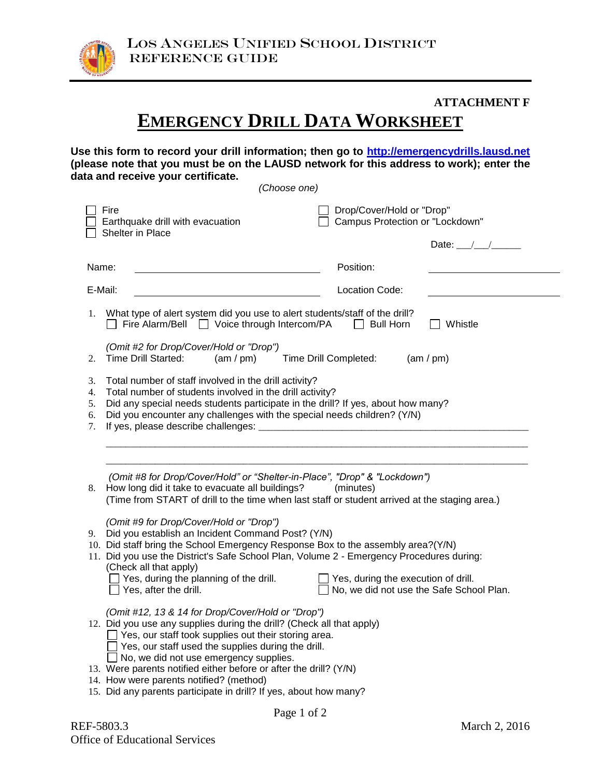

#### **ATTACHMENT F**

# **EMERGENCY DRILL DATA WORKSHEET**

**Use this form to record your drill information; then go to [http://emergencydrills.lausd.net](http://emergencydrills.lausd.net/) (please note that you must be on the LAUSD network for this address to work); enter the data and receive your certificate.** 

*(Choose one)*

| Fire<br>Earthquake drill with evacuation<br>Shelter in Place                                                                                                                                                                                                                                                                                                                                                                                                                                 | Drop/Cover/Hold or "Drop"<br>Campus Protection or "Lockdown"<br>Date: $\angle$    |
|----------------------------------------------------------------------------------------------------------------------------------------------------------------------------------------------------------------------------------------------------------------------------------------------------------------------------------------------------------------------------------------------------------------------------------------------------------------------------------------------|-----------------------------------------------------------------------------------|
| Name:                                                                                                                                                                                                                                                                                                                                                                                                                                                                                        | Position:                                                                         |
| E-Mail:                                                                                                                                                                                                                                                                                                                                                                                                                                                                                      | Location Code:                                                                    |
| What type of alert system did you use to alert students/staff of the drill?<br>1.<br>Fire Alarm/Bell   Voice through Intercom/PA                                                                                                                                                                                                                                                                                                                                                             | Bull Horn<br>Whistle                                                              |
| (Omit #2 for Drop/Cover/Hold or "Drop")<br><b>Time Drill Started:</b><br>$(am$ / pm)<br>2.                                                                                                                                                                                                                                                                                                                                                                                                   | Time Drill Completed:<br>(am / pm)                                                |
| Total number of staff involved in the drill activity?<br>3.<br>Total number of students involved in the drill activity?<br>4.<br>Did any special needs students participate in the drill? If yes, about how many?<br>5.<br>Did you encounter any challenges with the special needs children? (Y/N)<br>6.<br>7.                                                                                                                                                                               |                                                                                   |
| (Omit #8 for Drop/Cover/Hold" or "Shelter-in-Place", "Drop" & "Lockdown")<br>How long did it take to evacuate all buildings?<br>8.<br>(Time from START of drill to the time when last staff or student arrived at the staging area.)<br>(Omit #9 for Drop/Cover/Hold or "Drop")<br>9. Did you establish an Incident Command Post? (Y/N)<br>10. Did staff bring the School Emergency Response Box to the assembly area?(Y/N)                                                                  | (minutes)                                                                         |
| 11. Did you use the District's Safe School Plan, Volume 2 - Emergency Procedures during:<br>(Check all that apply)<br>Yes, during the planning of the drill.<br>$\Box$ Yes, after the drill.                                                                                                                                                                                                                                                                                                 | Yes, during the execution of drill.<br>□ No, we did not use the Safe School Plan. |
| (Omit #12, 13 & 14 for Drop/Cover/Hold or "Drop")<br>12. Did you use any supplies during the drill? (Check all that apply)<br>$\Box$ Yes, our staff took supplies out their storing area.<br>$\Box$ Yes, our staff used the supplies during the drill.<br>$\Box$ No, we did not use emergency supplies.<br>13. Were parents notified either before or after the drill? (Y/N)<br>14. How were parents notified? (method)<br>15. Did any parents participate in drill? If yes, about how many? |                                                                                   |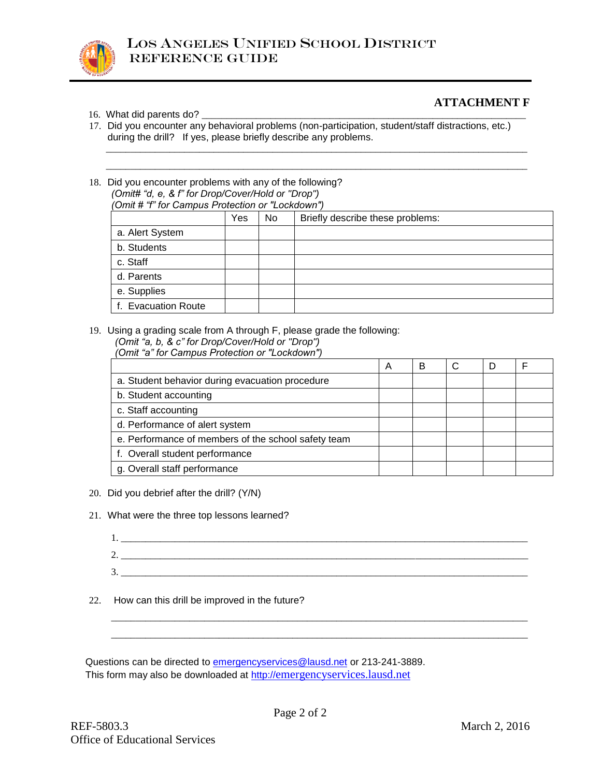

#### **ATTACHMENT F**

- 16. What did parents do?
- 17. Did you encounter any behavioral problems (non-participation, student/staff distractions, etc.) during the drill? If yes, please briefly describe any problems.

\_\_\_\_\_\_\_\_\_\_\_\_\_\_\_\_\_\_\_\_\_\_\_\_\_\_\_\_\_\_\_\_\_\_\_\_\_\_\_\_\_\_\_\_\_\_\_\_\_\_\_\_\_\_\_\_\_\_\_\_\_\_\_\_\_\_\_\_\_\_\_\_\_\_\_\_\_\_\_\_\_\_\_\_\_\_

18. Did you encounter problems with any of the following? *(Omit# "d, e, & f" for Drop/Cover/Hold or "Drop") (Omit # "f" for Campus Protection or "Lockdown")*

|                     | Yes | No | Briefly describe these problems: |  |
|---------------------|-----|----|----------------------------------|--|
| a. Alert System     |     |    |                                  |  |
| b. Students         |     |    |                                  |  |
| c. Staff            |     |    |                                  |  |
| d. Parents          |     |    |                                  |  |
| e. Supplies         |     |    |                                  |  |
| f. Evacuation Route |     |    |                                  |  |

\_\_\_\_\_\_\_\_\_\_\_\_\_\_\_\_\_\_\_\_\_\_\_\_\_\_\_\_\_\_\_\_\_\_\_\_\_\_\_\_\_\_\_\_\_\_\_\_\_\_\_\_\_\_\_\_\_\_\_\_\_\_\_\_\_\_\_\_\_\_\_\_\_\_\_\_\_\_\_\_\_\_\_\_\_\_

19. Using a grading scale from A through F, please grade the following:

| (Omit "a" for Campus Protection or "Lockdown") |  |
|------------------------------------------------|--|
|------------------------------------------------|--|

|                                                     | A | в |  |  |
|-----------------------------------------------------|---|---|--|--|
| a. Student behavior during evacuation procedure     |   |   |  |  |
| b. Student accounting                               |   |   |  |  |
| c. Staff accounting                                 |   |   |  |  |
| d. Performance of alert system                      |   |   |  |  |
| e. Performance of members of the school safety team |   |   |  |  |
| f. Overall student performance                      |   |   |  |  |
| g. Overall staff performance                        |   |   |  |  |

- 20. Did you debrief after the drill? (Y/N)
- 21. What were the three top lessons learned?
	- 1. \_\_\_\_\_\_\_\_\_\_\_\_\_\_\_\_\_\_\_\_\_\_\_\_\_\_\_\_\_\_\_\_\_\_\_\_\_\_\_\_\_\_\_\_\_\_\_\_\_\_\_\_\_\_\_\_\_\_\_\_\_\_\_\_\_\_\_\_\_\_\_\_\_\_\_\_\_\_\_\_\_\_\_ 2. \_\_\_\_\_\_\_\_\_\_\_\_\_\_\_\_\_\_\_\_\_\_\_\_\_\_\_\_\_\_\_\_\_\_\_\_\_\_\_\_\_\_\_\_\_\_\_\_\_\_\_\_\_\_\_\_\_\_\_\_\_\_\_\_\_\_\_\_\_\_\_\_\_\_\_\_\_\_\_\_\_\_\_ 3.

\_\_\_\_\_\_\_\_\_\_\_\_\_\_\_\_\_\_\_\_\_\_\_\_\_\_\_\_\_\_\_\_\_\_\_\_\_\_\_\_\_\_\_\_\_\_\_\_\_\_\_\_\_\_\_\_\_\_\_\_\_\_\_\_\_\_\_\_\_\_\_\_\_\_\_\_\_\_\_\_\_\_\_\_\_ \_\_\_\_\_\_\_\_\_\_\_\_\_\_\_\_\_\_\_\_\_\_\_\_\_\_\_\_\_\_\_\_\_\_\_\_\_\_\_\_\_\_\_\_\_\_\_\_\_\_\_\_\_\_\_\_\_\_\_\_\_\_\_\_\_\_\_\_\_\_\_\_\_\_\_\_\_\_\_\_\_\_\_\_\_

22. How can this drill be improved in the future?

Questions can be directed to [emergencyservices@lausd.net](mailto:emergencyservices@lausd.net) or 213-241-3889. This form may also be downloaded at http://[emergencyservices.lausd.net](http://emergencyservices.lausd.net/)